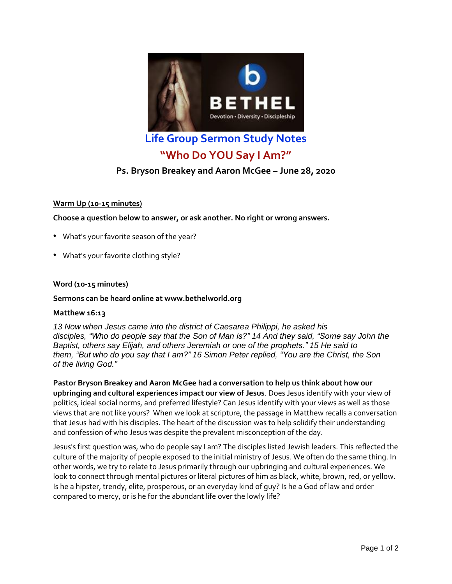

**Life Group Sermon Study Notes**

# **"Who Do YOU Say I Am?"**

# **Ps. Bryson Breakey and Aaron McGee – June 28, 2020**

# **Warm Up (10-15 minutes)**

**Choose a question below to answer, or ask another. No right or wrong answers.**

- What's your favorite season of the year?
- What's your favorite clothing style?

# **Word (10-15 minutes)**

# **Sermons can be heard online at [www.bethelworld.org](http://www.bethelworld.org/)**

### **Matthew 16:13**

*13 Now when Jesus came into the district of Caesarea Philippi, he asked his disciples, "Who do people say that the Son of Man is?" 14 And they said, "Some say John the Baptist, others say Elijah, and others Jeremiah or one of the prophets." 15 He said to them, "But who do you say that I am?" 16 Simon Peter replied, "You are the Christ, the Son of the living God."*

**Pastor Bryson Breakey and Aaron McGee had a conversation to help us think about how our upbringing and cultural experiences impact our view of Jesus**. Does Jesus identify with your view of politics, ideal social norms, and preferred lifestyle? Can Jesus identify with your views as well as those views that are not like yours? When we look at scripture, the passage in Matthew recalls a conversation that Jesus had with his disciples. The heart of the discussion was to help solidify their understanding and confession of who Jesus was despite the prevalent misconception of the day.

Jesus's first question was, who do people say I am? The disciples listed Jewish leaders. This reflected the culture of the majority of people exposed to the initial ministry of Jesus. We often do the same thing. In other words, we try to relate to Jesus primarily through our upbringing and cultural experiences. We look to connect through mental pictures or literal pictures of him as black, white, brown, red, or yellow. Is he a hipster, trendy, elite, prosperous, or an everyday kind of guy? Is he a God of law and order compared to mercy, or is he for the abundant life over the lowly life?